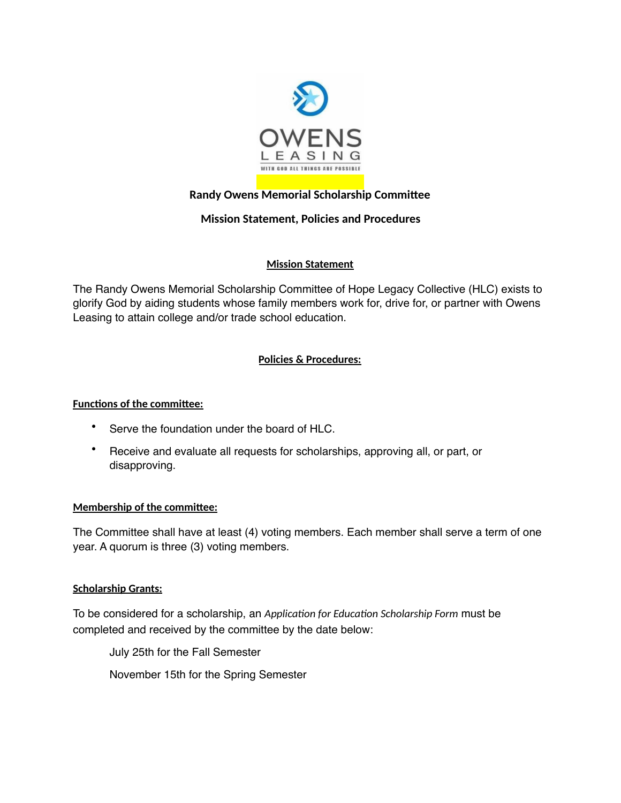

# **Randy Owens Memorial Scholarship Committee**

## **Mission Statement, Policies and Procedures**

### **Mission Statement**

The Randy Owens Memorial Scholarship Committee of Hope Legacy Collective (HLC) exists to glorify God by aiding students whose family members work for, drive for, or partner with Owens Leasing to attain college and/or trade school education.

### **Policies & Procedures:**

### **Functions of the committee:**

- Serve the foundation under the board of HLC.
- Receive and evaluate all requests for scholarships, approving all, or part, or disapproving.

### **Membership of the committee:**

The Committee shall have at least (4) voting members. Each member shall serve a term of one year. A quorum is three (3) voting members.

### **Scholarship Grants:**

To be considered for a scholarship, an *Application for Education Scholarship Form* must be completed and received by the committee by the date below:

July 25th for the Fall Semester November 15th for the Spring Semester